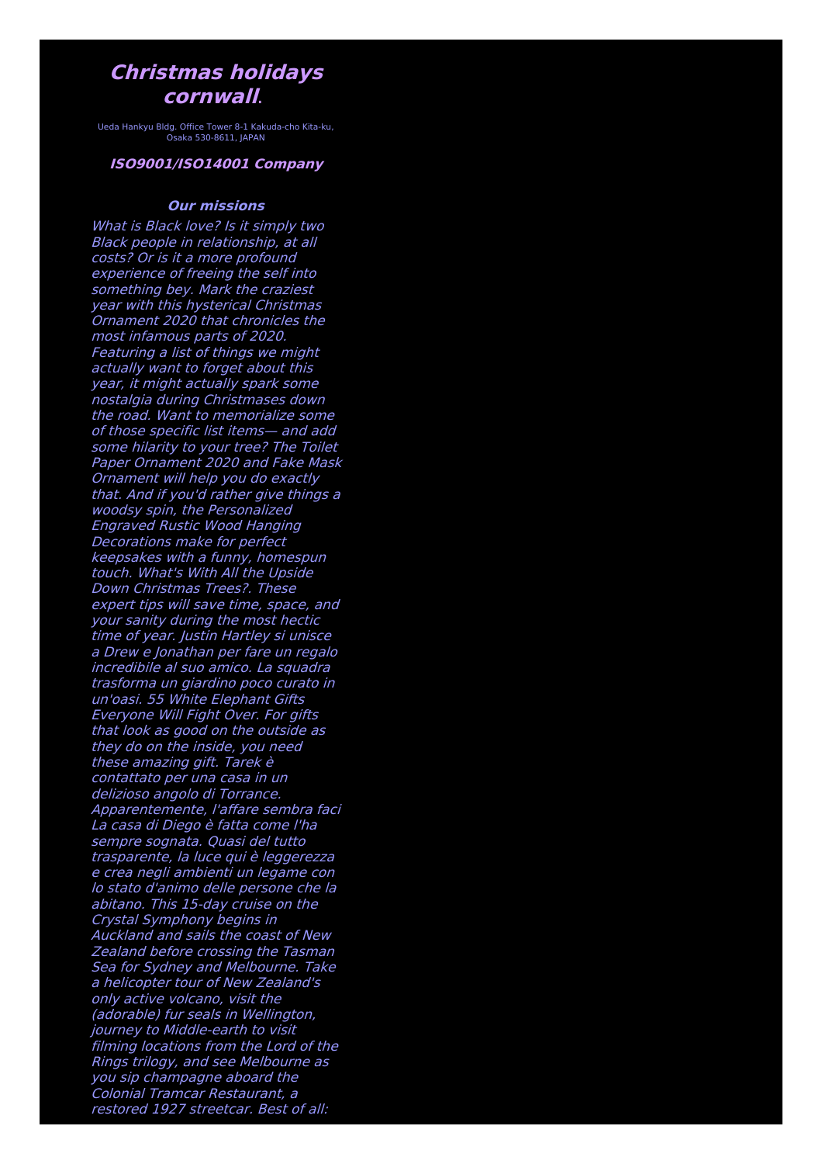## **Christmas holidays cornwall**.

Ueda Hankyu Bldg. Office Tower 8-1 Kakuda-cho Kita-ku, Osaka 530-8611, JAPAN

## **ISO9001/ISO14001 Company**

## **Our missions**

What is Black love? Is it simply two Black people in relationship, at all costs? Or is it <sup>a</sup> more profound experience of freeing the self into something bey. Mark the craziest year with this hysterical Christmas Ornament 2020 that chronicles the most infamous parts of 2020. Featuring <sup>a</sup> list of things we might actually want to forget about this year, it might actually spark some nostalgia during Christmases down the road. Want to memorialize some of those specific list items— and add some hilarity to your tree? The Toilet Paper Ornament 2020 and Fake Mask Ornament will help you do exactly that. And if you'd rather give things <sup>a</sup> woodsy spin, the Personalized Engraved Rustic Wood Hanging Decorations make for perfect keepsakes with <sup>a</sup> funny, homespun touch. What's With All the Upside Down Christmas Trees?. These expert tips will save time, space, and your sanity during the most hectic time of year. Justin Hartley si unisce <sup>a</sup> Drew <sup>e</sup> Jonathan per fare un regalo incredibile al suo amico. La squadra trasforma un giardino poco curato in un'oasi. 55 White Elephant Gifts Everyone Will Fight Over. For gifts that look as good on the outside as they do on the inside, you need these amazing gift. Tarek è contattato per una casa in un delizioso angolo di Torrance. Apparentemente, l'affare sembra faci La casa di Diego è fatta come l'ha sempre sognata. Quasi del tutto trasparente, la luce qui è leggerezza <sup>e</sup> crea negli ambienti un legame con lo stato d'animo delle persone che la abitano. This 15-day cruise on the Crystal Symphony begins in Auckland and sails the coast of New Zealand before crossing the Tasman Sea for Sydney and Melbourne. Take <sup>a</sup> helicopter tour of New Zealand's only active volcano, visit the (adorable) fur seals in Wellington, journey to Middle-earth to visit filming locations from the Lord of the Rings trilogy, and see Melbourne as you sip champagne aboard the Colonial Tramcar Restaurant, <sup>a</sup> restored 1927 streetcar. Best of all: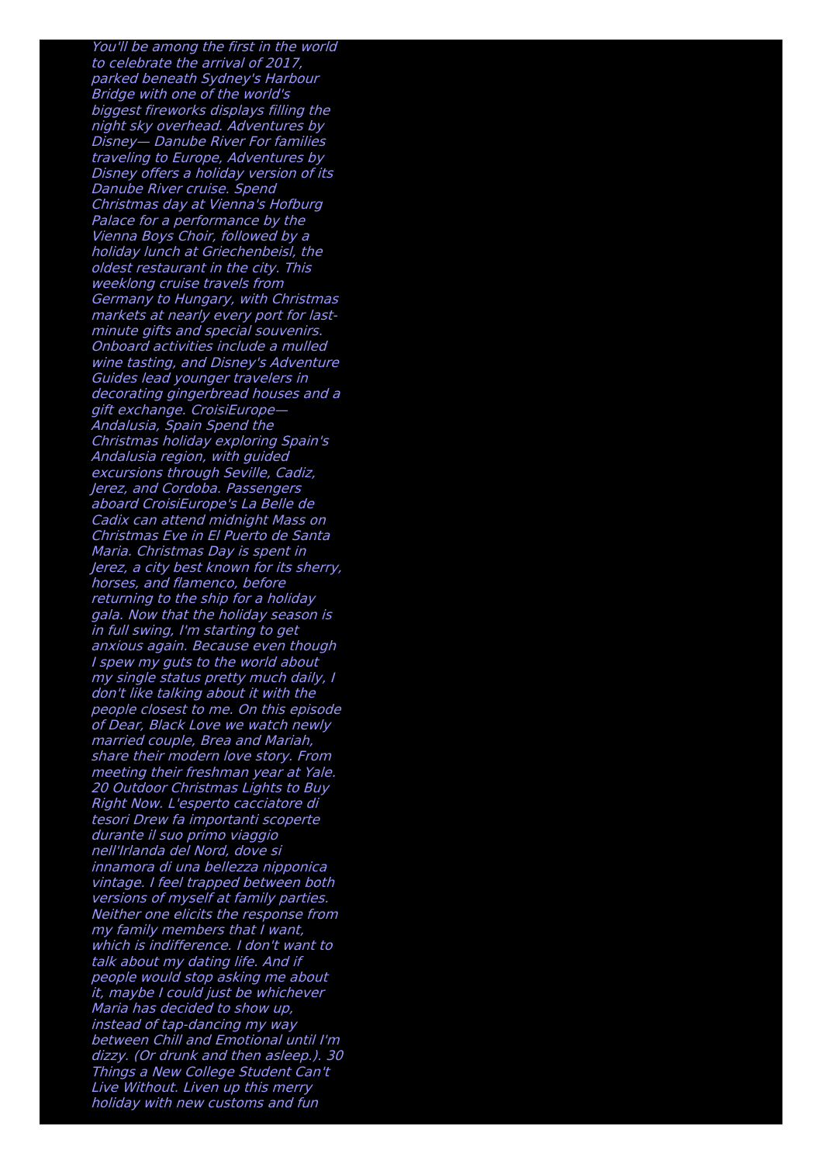You'll be among the first in the world to celebrate the arrival of 2017, parked beneath Sydney's Harbour Bridge with one of the world's biggest fireworks displays filling the night sky overhead. Adventures by Disney— Danube River For families traveling to Europe, Adventures by Disney offers <sup>a</sup> holiday version of its Danube River cruise. Spend Christmas day at Vienna's Hofburg Palace for <sup>a</sup> performance by the Vienna Boys Choir, followed by <sup>a</sup> holiday lunch at Griechenbeisl, the oldest restaurant in the city. This weeklong cruise travels from Germany to Hungary, with Christmas markets at nearly every port for last minute gifts and special souvenirs. Onboard activities include a mulled wine tasting, and Disney's Adventure Guides lead younger travelers in decorating gingerbread houses and <sup>a</sup> gift exchange. CroisiEurope— Andalusia, Spain Spend the Christmas holiday exploring Spain's Andalusia region, with guided excursions through Seville, Cadiz, Jerez, and Cordoba. Passengers aboard CroisiEurope's La Belle de Cadix can attend midnight Mass on Christmas Eve in El Puerto de Santa Maria. Christmas Day is spent in Jerez, <sup>a</sup> city best known for its sherry, horses, and flamenco, before returning to the ship for <sup>a</sup> holiday gala. Now that the holiday season is in full swing, I'm starting to get anxious again. Because even though I spew my guts to the world about my single status pretty much daily, I don't like talking about it with the people closest to me. On this episode of Dear, Black Love we watch newly married couple, Brea and Mariah, share their modern love story. From meeting their freshman year at Yale. 20 Outdoor Christmas Lights to Buy Right Now. L'esperto cacciatore di tesori Drew fa importanti scoperte durante il suo primo viaggio nell'Irlanda del Nord, dove si innamora di una bellezza nipponica vintage. I feel trapped between both versions of myself at family parties. Neither one elicits the response from my family members that I want, which is indifference. I don't want to talk about my dating life. And if people would stop asking me about it, maybe I could just be whichever Maria has decided to show up, instead of tap-dancing my way between Chill and Emotional until I'm dizzy. (Or drunk and then asleep.). 30 Things <sup>a</sup> New College Student Can't Live Without. Liven up this merry holiday with new customs and fun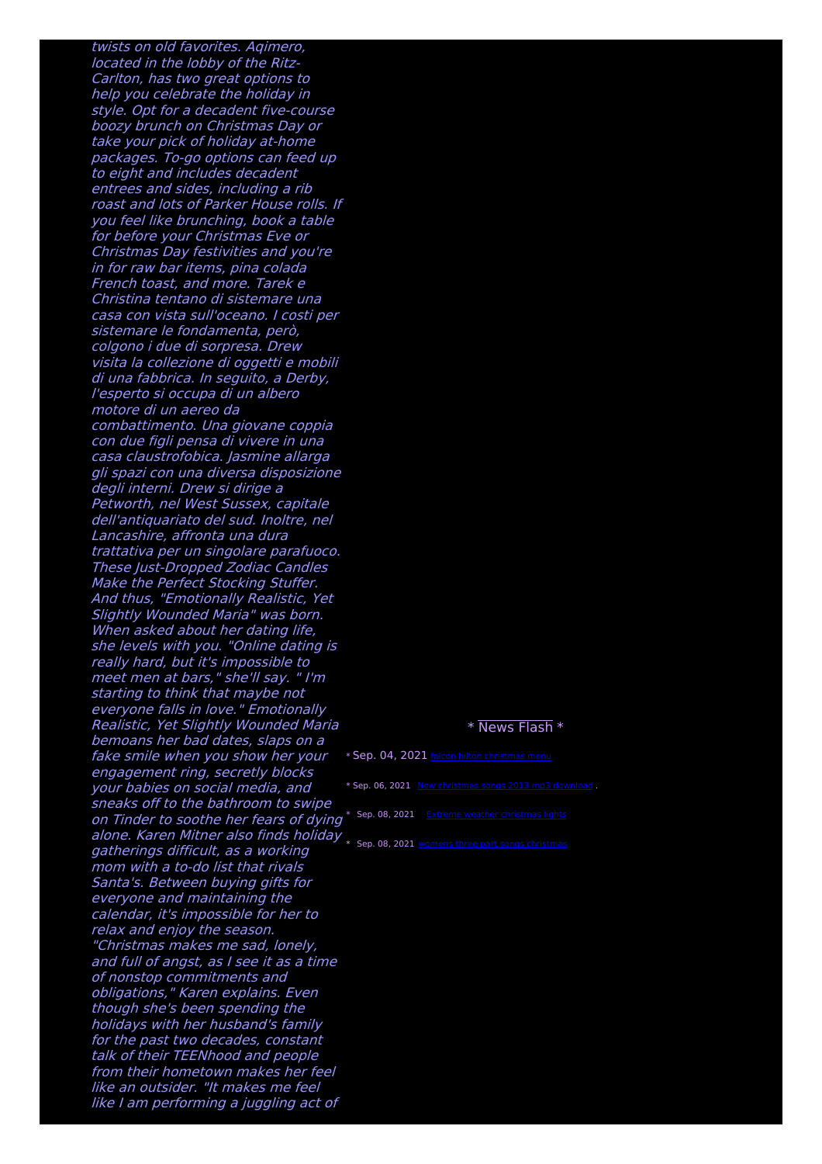twists on old favorites. Aqimero, located in the lobby of the Ritz-Carlton, has two great options to help you celebrate the holiday in style. Opt for <sup>a</sup> decadent five-course boozy brunch on Christmas Day or take your pick of holiday at-home packages. To-go options can feed up to eight and includes decadent entrees and sides, including <sup>a</sup> rib roast and lots of Parker House rolls. If you feel like brunching, book <sup>a</sup> table for before your Christmas Eve or Christmas Day festivities and you're in for raw bar items, pina colada French toast, and more. Tarek <sup>e</sup> Christina tentano di sistemare una casa con vista sull'oceano. I costi per sistemare le fondamenta, però, colgono i due di sorpresa. Drew visita la collezione di oggetti <sup>e</sup> mobili di una fabbrica. In seguito, <sup>a</sup> Derby, l'esperto si occupa di un albero motore di un aereo da combattimento. Una giovane coppia con due figli pensa di vivere in una casa claustrofobica. Jasmine allarga gli spazi con una diversa disposizione degli interni. Drew si dirige <sup>a</sup> Petworth, nel West Sussex, capitale dell'antiquariato del sud. Inoltre, nel Lancashire, affronta una dura trattativa per un singolare parafuoco. These Just-Dropped Zodiac Candles Make the Perfect Stocking Stuffer. And thus, "Emotionally Realistic, Yet Slightly Wounded Maria" was born. When asked about her dating life, she levels with you. "Online dating is really hard, but it's impossible to meet men at bars," she'll say. " I'm starting to think that maybe not everyone falls in love." Emotionally Realistic, Yet Slightly Wounded Maria bemoans her bad dates, slaps on <sup>a</sup> fake smile when you show her your engagement ring, secretly blocks your babies on social media, and sneaks off to the bathroom to swipe on Tinder to soothe her fears of dying<sup>\* Sep. 08, 2021 Extreme weather [christmas](http://foto-ms.pl/detail/news/517621/chrismas/) lights</sup> alone. Karen Mitner also finds holiday \* Sep. 08, 2021 womens three part songs [christmas](http://foto-ms.pl/detail/news/879709/chrismas/)gatherings difficult, as <sup>a</sup> working mom with a to-do list that rivals Santa's. Between buying gifts for everyone and maintaining the calendar, it's impossible for her to relax and enjoy the season. "Christmas makes me sad, lonely, and full of angst, as I see it as <sup>a</sup> time of nonstop commitments and obligations," Karen explains. Even though she's been spending the holidays with her husband's family for the past two decades, constant talk of their TEENhood and people from their hometown makes her feel like an outsider. "It makes me feel like I am performing <sup>a</sup> juggling act of

## \* News Flash \*

\* Sep. 04, 2021 falcon hilton [christmas](http://foto-ms.pl/detail/news/826741/chrismas/) menu \* Sep. 06, 2021 New [christmas](http://foto-ms.pl/detail/news/187314/chrismas/) songs 2013 mp3 download .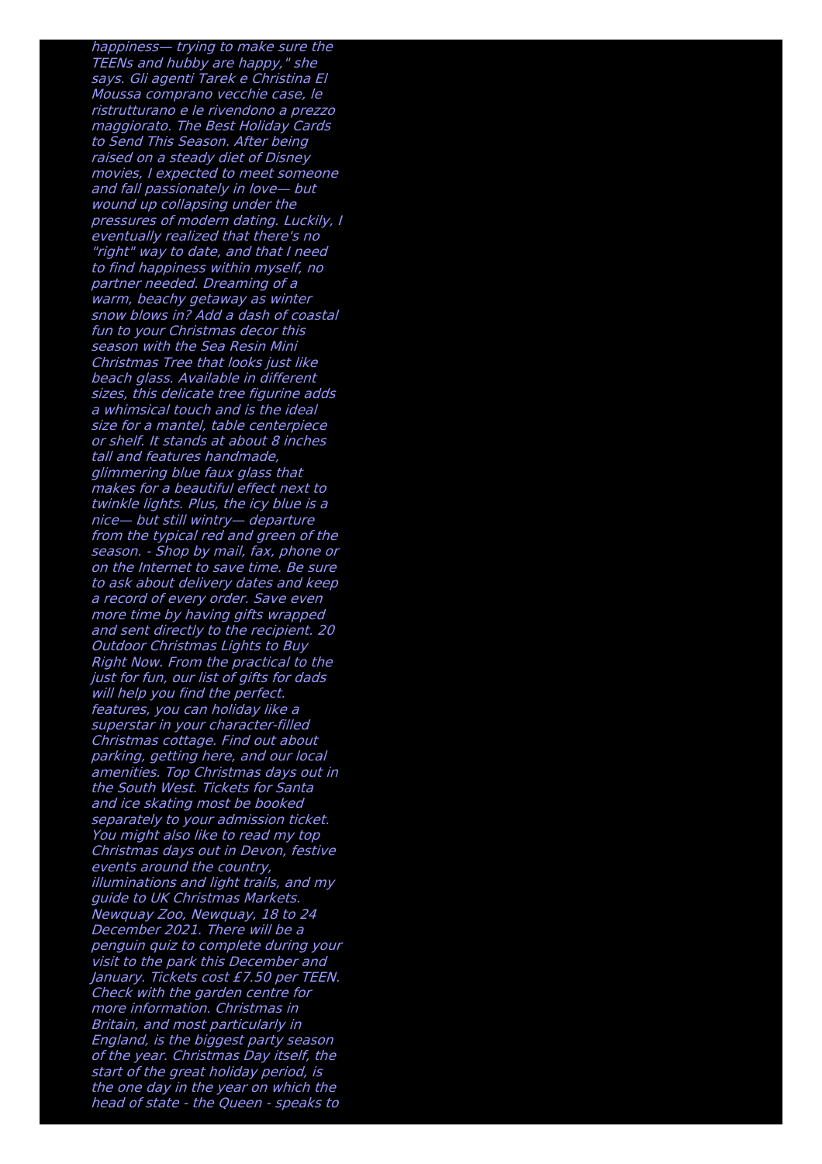happiness— trying to make sure the TEENs and hubby are happy," she says. Gli agenti Tarek <sup>e</sup> Christina El Moussa comprano vecchie case, le ristrutturano <sup>e</sup> le rivendono <sup>a</sup> prezzo maggiorato. The Best Holiday Cards to Send This Season. After being raised on <sup>a</sup> steady diet of Disney movies, I expected to meet someone and fall passionately in love— but wound up collapsing under the pressures of modern dating. Luckily, I eventually realized that there's no "right" way to date, and that I need to find happiness within myself, no partner needed. Dreaming of <sup>a</sup> warm, beachy getaway as winter snow blows in? Add a dash of coastal fun to your Christmas decor this season with the Sea Resin Mini Christmas Tree that looks just like beach glass. Available in different sizes, this delicate tree figurine adds a whimsical touch and is the ideal size for <sup>a</sup> mantel, table centerpiece or shelf. It stands at about 8 inches tall and features handmade, glimmering blue faux glass that makes for a beautiful effect next to twinkle lights. Plus, the icy blue is <sup>a</sup> nice— but still wintry— departure from the typical red and green of the season. - Shop by mail, fax, phone or on the Internet to save time. Be sure to ask about delivery dates and keep <sup>a</sup> record of every order. Save even more time by having gifts wrapped and sent directly to the recipient. 20 Outdoor Christmas Lights to Buy Right Now. From the practical to the just for fun, our list of gifts for dads will help you find the perfect. features, you can holiday like <sup>a</sup> superstar in your character-filled Christmas cottage. Find out about parking, getting here, and our local amenities. Top Christmas days out in the South West. Tickets for Santa and ice skating most be booked separately to your admission ticket. You might also like to read my top Christmas days out in Devon, festive events around the country, illuminations and light trails, and my guide to UK Christmas Markets. Newquay Zoo, Newquay, 18 to 24 December 2021. There will be a penguin quiz to complete during your visit to the park this December and January. Tickets cost £7.50 per TEEN. Check with the garden centre for more information. Christmas in Britain, and most particularly in England, is the biggest party season of the year. Christmas Day itself, the start of the great holiday period, is the one day in the year on which the head of state - the Queen - speaks to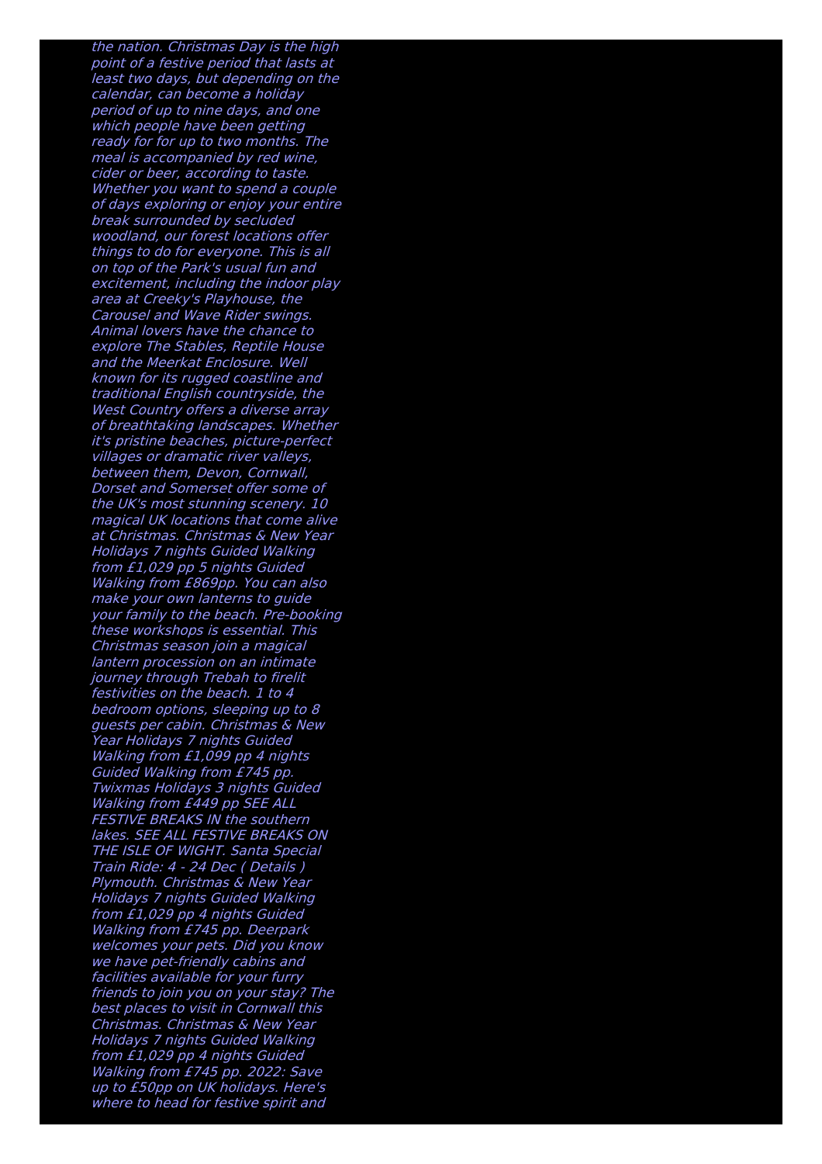the nation. Christmas Day is the high point of <sup>a</sup> festive period that lasts at least two days, but depending on the calendar, can become <sup>a</sup> holiday period of up to nine days, and one which people have been getting ready for for up to two months. The meal is accompanied by red wine, cider or beer, according to taste. Whether you want to spend a couple of days exploring or enjoy your entire break surrounded by secluded woodland, our forest locations offer things to do for everyone. This is all on top of the Park's usual fun and excitement, including the indoor play area at Creeky's Playhouse, the Carousel and Wave Rider swings. Animal lovers have the chance to explore The Stables, Reptile House and the Meerkat Enclosure. Well known for its rugged coastline and traditional English countryside, the West Country offers <sup>a</sup> diverse array of breathtaking landscapes. Whether it's pristine beaches, picture-perfect villages or dramatic river valleys, between them, Devon, Cornwall, Dorset and Somerset offer some of the UK's most stunning scenery. 10 magical UK locations that come alive at Christmas. Christmas & New Year Holidays 7 nights Guided Walking from £1,029 pp 5 nights Guided Walking from £869pp. You can also make your own lanterns to guide your family to the beach. Pre-booking these workshops is essential. This Christmas season join <sup>a</sup> magical lantern procession on an intimate journey through Trebah to firelit festivities on the beach. 1 to 4 bedroom options, sleeping up to 8 guests per cabin. Christmas & New Year Holidays 7 nights Guided Walking from £1,099 pp 4 nights Guided Walking from £745 pp. Twixmas Holidays 3 nights Guided Walking from £449 pp SEE ALL FESTIVE BREAKS IN the southern lakes. SEE ALL FESTIVE BREAKS ON THE ISLE OF WIGHT. Santa Special Train Ride: 4 - 24 Dec ( Details ) Plymouth. Christmas & New Year Holidays 7 nights Guided Walking from £1,029 pp 4 nights Guided Walking from £745 pp. Deerpark welcomes your pets. Did you know we have pet-friendly cabins and facilities available for your furry friends to join you on your stay? The best places to visit in Cornwall this Christmas. Christmas & New Year Holidays 7 nights Guided Walking from £1,029 pp 4 nights Guided Walking from £745 pp. 2022: Save up to £50pp on UK holidays. Here's where to head for festive spirit and